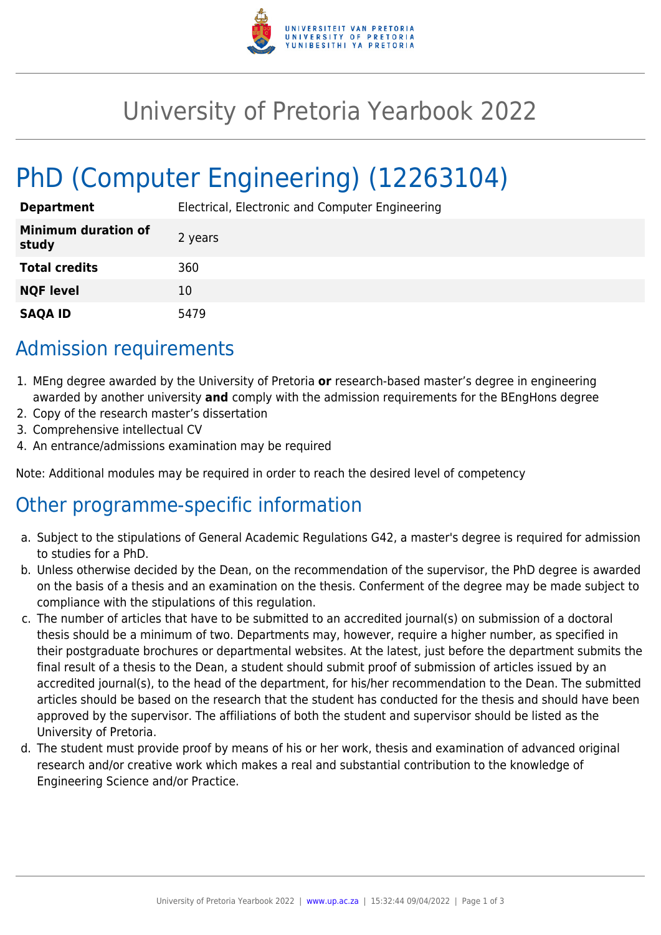

## University of Pretoria Yearbook 2022

# PhD (Computer Engineering) (12263104)

| <b>Department</b>                   | Electrical, Electronic and Computer Engineering |
|-------------------------------------|-------------------------------------------------|
| <b>Minimum duration of</b><br>study | 2 years                                         |
| <b>Total credits</b>                | 360                                             |
| <b>NQF level</b>                    | 10                                              |
| <b>SAQA ID</b>                      | 5479                                            |

### Admission requirements

- 1. MEng degree awarded by the University of Pretoria **or** research-based master's degree in engineering awarded by another university **and** comply with the admission requirements for the BEngHons degree
- 2. Copy of the research master's dissertation
- 3. Comprehensive intellectual CV
- 4. An entrance/admissions examination may be required

Note: Additional modules may be required in order to reach the desired level of competency

#### Other programme-specific information

- a. Subject to the stipulations of General Academic Regulations G42, a master's degree is required for admission to studies for a PhD.
- b. Unless otherwise decided by the Dean, on the recommendation of the supervisor, the PhD degree is awarded on the basis of a thesis and an examination on the thesis. Conferment of the degree may be made subject to compliance with the stipulations of this regulation.
- c. The number of articles that have to be submitted to an accredited journal(s) on submission of a doctoral thesis should be a minimum of two. Departments may, however, require a higher number, as specified in their postgraduate brochures or departmental websites. At the latest, just before the department submits the final result of a thesis to the Dean, a student should submit proof of submission of articles issued by an accredited journal(s), to the head of the department, for his/her recommendation to the Dean. The submitted articles should be based on the research that the student has conducted for the thesis and should have been approved by the supervisor. The affiliations of both the student and supervisor should be listed as the University of Pretoria.
- d. The student must provide proof by means of his or her work, thesis and examination of advanced original research and/or creative work which makes a real and substantial contribution to the knowledge of Engineering Science and/or Practice.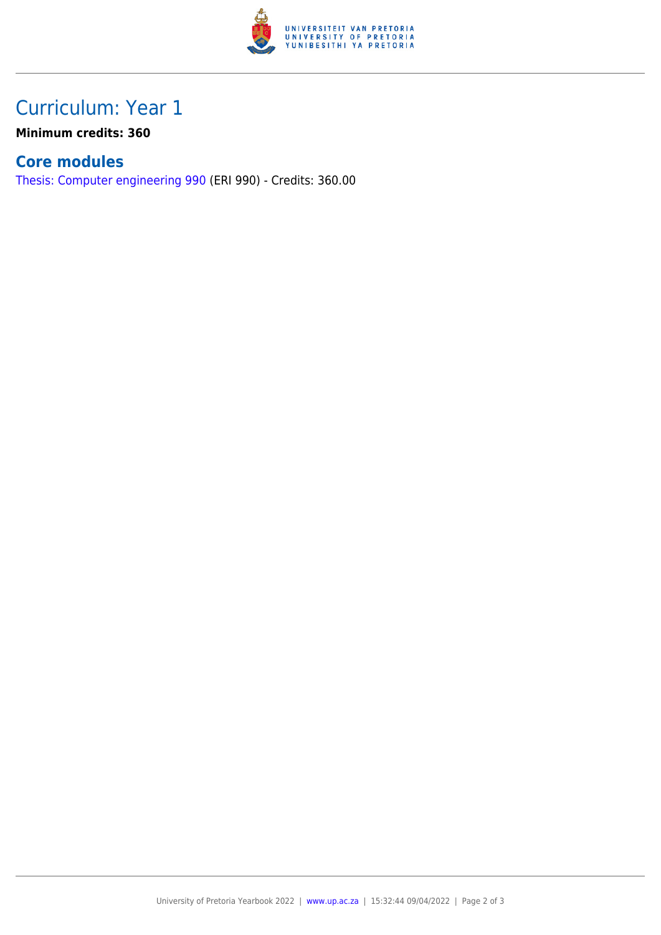

## Curriculum: Year 1

**Minimum credits: 360**

#### **Core modules**

[Thesis: Computer engineering 990](https://www.up.ac.za/faculty-of-education/yearbooks/2022/modules/view/ERI 990) (ERI 990) - Credits: 360.00